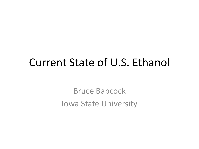### Current State of U.S. Ethanol

Bruce Babcock Iowa State University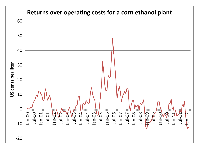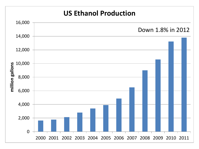#### **US Ethanol Production**

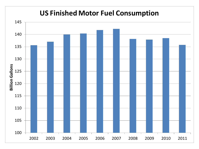#### **US Finished Motor Fuel Consumption**

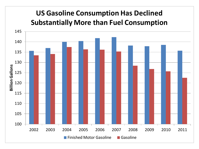#### **US Gasoline Consumption Has Declined Substantially More than Fuel Consumption**

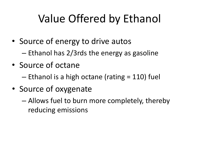# Value Offered by Ethanol

- Source of energy to drive autos – Ethanol has 2/3rds the energy as gasoline
- Source of octane
	- Ethanol is a high octane (rating = 110) fuel
- Source of oxygenate
	- Allows fuel to burn more completely, thereby reducing emissions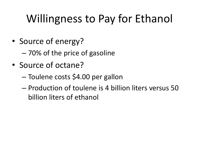# Willingness to Pay for Ethanol

- Source of energy?
	- 70% of the price of gasoline
- Source of octane?
	- Toulene costs \$4.00 per gallon
	- Production of toulene is 4 billion liters versus 50 billion liters of ethanol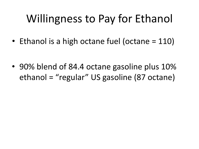# Willingness to Pay for Ethanol

• Ethanol is a high octane fuel (octane = 110)

• 90% blend of 84.4 octane gasoline plus 10% ethanol = "regular" US gasoline (87 octane)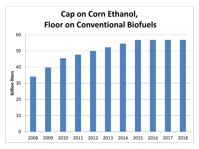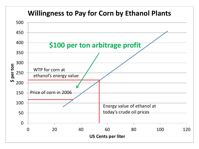#### **Willingness to Pay for Corn by Ethanol Plants**

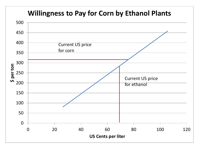#### **Willingness to Pay for Corn by Ethanol Plants**

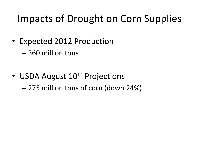### Impacts of Drought on Corn Supplies

- Expected 2012 Production
	- 360 million tons
- USDA August 10<sup>th</sup> Projections
	- 275 million tons of corn (down 24%)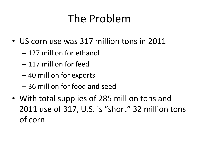# The Problem

- US corn use was 317 million tons in 2011
	- 127 million for ethanol
	- 117 million for feed
	- 40 million for exports
	- 36 million for food and seed
- With total supplies of 285 million tons and 2011 use of 317, U.S. is "short" 32 million tons of corn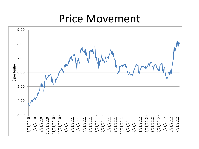### Price Movement

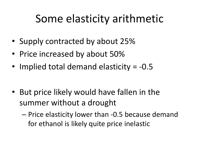# Some elasticity arithmetic

- Supply contracted by about 25%
- Price increased by about 50%
- Implied total demand elasticity = -0.5

- But price likely would have fallen in the summer without a drought
	- Price elasticity lower than -0.5 because demand for ethanol is likely quite price inelastic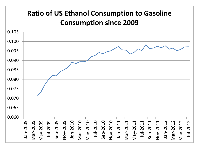#### **Ratio of US Ethanol Consumption to Gasoline Consumption since 2009**

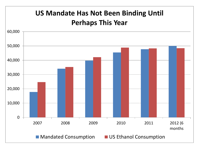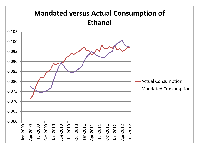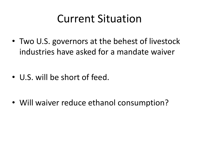## Current Situation

• Two U.S. governors at the behest of livestock industries have asked for a mandate waiver

• U.S. will be short of feed.

• Will waiver reduce ethanol consumption?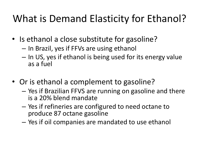### What is Demand Elasticity for Ethanol?

- Is ethanol a close substitute for gasoline?
	- In Brazil, yes if FFVs are using ethanol
	- In US, yes if ethanol is being used for its energy value as a fuel
- Or is ethanol a complement to gasoline?
	- Yes if Brazilian FFVS are running on gasoline and there is a 20% blend mandate
	- Yes if refineries are configured to need octane to produce 87 octane gasoline
	- Yes if oil companies are mandated to use ethanol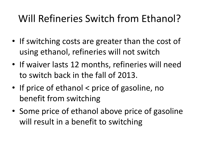### Will Refineries Switch from Ethanol?

- If switching costs are greater than the cost of using ethanol, refineries will not switch
- If waiver lasts 12 months, refineries will need to switch back in the fall of 2013.
- If price of ethanol < price of gasoline, no benefit from switching
- Some price of ethanol above price of gasoline will result in a benefit to switching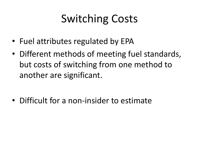# Switching Costs

- Fuel attributes regulated by EPA
- Different methods of meeting fuel standards, but costs of switching from one method to another are significant.

• Difficult for a non-insider to estimate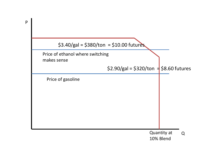

P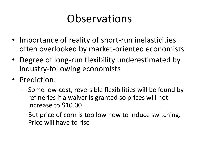## Observations

- Importance of reality of short-run inelasticities often overlooked by market-oriented economists
- Degree of long-run flexibility underestimated by industry-following economists
- Prediction:
	- Some low-cost, reversible flexibilities will be found by refineries if a waiver is granted so prices will not increase to \$10.00
	- But price of corn is too low now to induce switching. Price will have to rise